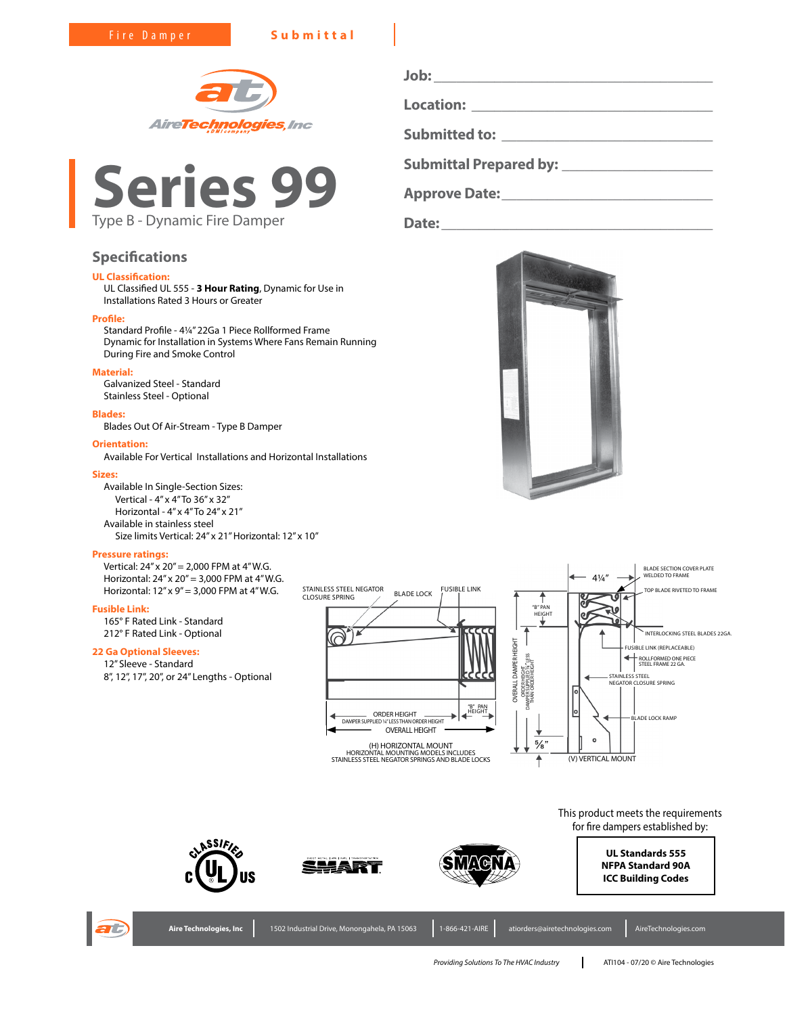Fire Damper **Submittal**





# **Specifications**

# **UL Classification:**

UL Classified UL 555 - **3 Hour Rating**, Dynamic for Use in Installations Rated 3 Hours or Greater

#### **Profile:**

Standard Profile - 4¼" 22Ga 1 Piece Rollformed Frame Dynamic for Installation in Systems Where Fans Remain Running During Fire and Smoke Control

# **Material:**

Galvanized Steel - Standard Stainless Steel - Optional

## **Blades:**

Blades Out Of Air-Stream - Type B Damper

#### **Orientation:**

Available For Vertical Installations and Horizontal Installations

#### **Sizes:**

Available In Single-Section Sizes: Vertical - 4" x 4" To 36" x 32" Horizontal - 4" x 4" To 24" x 21" Available in stainless steel Size limits Vertical: 24" x 21" Horizontal: 12" x 10"

#### **Pressure ratings:**

Vertical:  $24'' \times 20'' = 2,000$  FPM at  $4''$  W.G. Horizontal: 24" x 20" = 3,000 FPM at 4" W.G. Horizontal: 12" x 9" = 3,000 FPM at 4" W.G.

## **Fusible Link:**

165° F Rated Link - Standard 212° F Rated Link - Optional

# **22 Ga Optional Sleeves:**

12" Sleeve - Standard



**Submittal Prepared by: \_\_\_\_\_\_\_\_\_\_\_\_\_\_\_\_\_\_\_\_ Approve Date:\_\_\_\_\_\_\_\_\_\_\_\_\_\_\_\_\_\_\_\_\_\_\_\_\_\_\_\_ Date:\_\_\_\_\_\_\_\_\_\_\_\_\_\_\_\_\_\_\_\_\_\_\_\_\_\_\_\_\_\_\_\_\_\_\_\_**

**Job: \_\_\_\_\_\_\_\_\_\_\_\_\_\_\_\_\_\_\_\_\_\_\_\_\_\_\_\_\_\_\_\_\_\_\_\_\_**

**Location: \_\_\_\_\_\_\_\_\_\_\_\_\_\_\_\_\_\_\_\_\_\_\_\_\_\_\_\_\_\_\_\_**

**Submitted to: \_\_\_\_\_\_\_\_\_\_\_\_\_\_\_\_\_\_\_\_\_\_\_\_\_\_\_\_**











**NFPA Standard 90A ICC Building Codes**